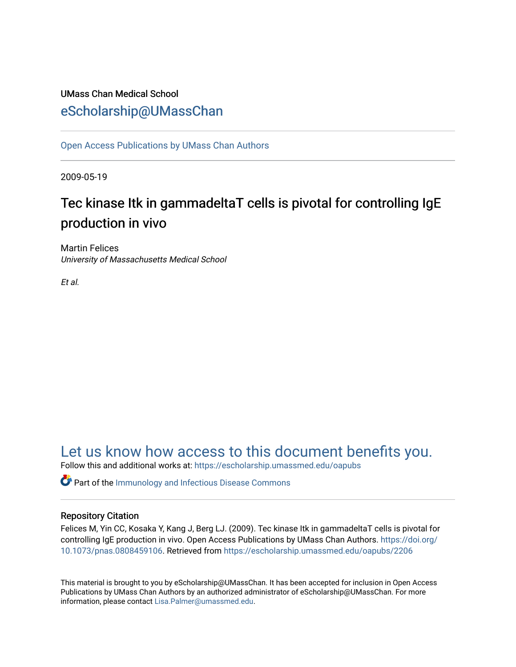### UMass Chan Medical School [eScholarship@UMassChan](https://escholarship.umassmed.edu/)

[Open Access Publications by UMass Chan Authors](https://escholarship.umassmed.edu/oapubs) 

2009-05-19

## Tec kinase Itk in gammadeltaT cells is pivotal for controlling IgE production in vivo

Martin Felices University of Massachusetts Medical School

Et al.

## [Let us know how access to this document benefits you.](https://arcsapps.umassmed.edu/redcap/surveys/?s=XWRHNF9EJE)

Follow this and additional works at: [https://escholarship.umassmed.edu/oapubs](https://escholarship.umassmed.edu/oapubs?utm_source=escholarship.umassmed.edu%2Foapubs%2F2206&utm_medium=PDF&utm_campaign=PDFCoverPages) 

**C** Part of the Immunology and Infectious Disease Commons

### Repository Citation

Felices M, Yin CC, Kosaka Y, Kang J, Berg LJ. (2009). Tec kinase Itk in gammadeltaT cells is pivotal for controlling IgE production in vivo. Open Access Publications by UMass Chan Authors. [https://doi.org/](https://doi.org/10.1073/pnas.0808459106) [10.1073/pnas.0808459106.](https://doi.org/10.1073/pnas.0808459106) Retrieved from [https://escholarship.umassmed.edu/oapubs/2206](https://escholarship.umassmed.edu/oapubs/2206?utm_source=escholarship.umassmed.edu%2Foapubs%2F2206&utm_medium=PDF&utm_campaign=PDFCoverPages) 

This material is brought to you by eScholarship@UMassChan. It has been accepted for inclusion in Open Access Publications by UMass Chan Authors by an authorized administrator of eScholarship@UMassChan. For more information, please contact [Lisa.Palmer@umassmed.edu.](mailto:Lisa.Palmer@umassmed.edu)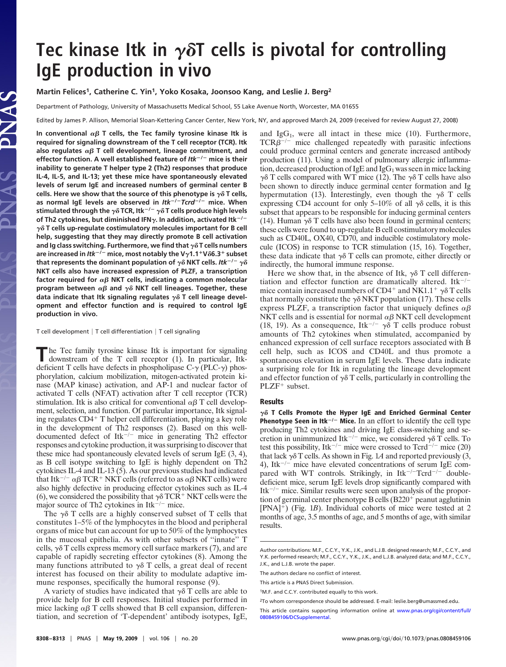# Tec kinase Itk in  $\gamma\delta$ T cells is pivotal for controlling **IgE production in vivo**

### **Martin Felices1, Catherine C. Yin1, Yoko Kosaka, Joonsoo Kang, and Leslie J. Berg2**

Department of Pathology, University of Massachusetts Medical School, 55 Lake Avenue North, Worcester, MA 01655

Edited by James P. Allison, Memorial Sloan-Kettering Cancer Center, New York, NY, and approved March 24, 2009 (received for review August 27, 2008)

In conventional  $\alpha\beta$  T cells, the Tec family tyrosine kinase Itk is **required for signaling downstream of the T cell receptor (TCR). Itk** also regulates  $\alpha\beta$  T cell development, lineage commitment, and **effector function. A well established feature of** *Itk***/ mice is their inability to generate T helper type 2 (Th2) responses that produce IL-4, IL-5, and IL-13; yet these mice have spontaneously elevated levels of serum IgE and increased numbers of germinal center B** cells. Here we show that the source of this phenotype is  $\gamma \delta$  T cells, **as normal IgE levels are observed in** *Itk***/***Tcrd***/ mice. When** stimulated through the  $\gamma\delta$  TCR, Itk $^{-/-}$   $\gamma\delta$  T cells produce high levels of Th2 cytokines, but diminished IFN $\gamma$ . In addition, activated Itk<sup> $-/-$ </sup>  $\gamma$  $\delta$  T cells up-regulate costimulatory molecules important for B cell **help, suggesting that they may directly promote B cell activation** and Ig class switching. Furthermore, we find that  $\gamma\delta$  T cells numbers **are increased in** *Itk***/ mice, most notably the V1.1V**-**6.3 subset** that represents the dominant population of  $\gamma \delta$  NKT cells. Itk<sup>-/-</sup>  $\gamma \delta$ **NKT cells also have increased expression of PLZF, a transcription** factor required for  $\alpha\beta$  NKT cells, indicating a common molecular program between  $\alpha\beta$  and  $\gamma\delta$  NKT cell lineages. Together, these data indicate that Itk signaling regulates  $\gamma \delta$  T cell lineage devel**opment and effector function and is required to control IgE production in vivo.**

T cell development  $|T$  cell differentiation  $|T$  cell signaling

The Tec family tyrosine kinase Itk is important for signaling downstream of the T cell receptor (1). In particular, Itkdeficient T cells have defects in phospholipase  $C-\gamma$  (PLC- $\gamma$ ) phosphorylation, calcium mobilization, mitogen-activated protein kinase (MAP kinase) activation, and AP-1 and nuclear factor of activated T cells (NFAT) activation after T cell receptor (TCR) stimulation. Itk is also critical for conventional  $\alpha\beta$  T cell development, selection, and function. Of particular importance, Itk signaling regulates  $CD4+T$  helper cell differentiation, playing a key role in the development of Th2 responses (2). Based on this welldocumented defect of  $Itk^{-/-}$  mice in generating Th2 effector responses and cytokine production, it was surprising to discover that these mice had spontaneously elevated levels of serum IgE (3, 4), as B cell isotype switching to IgE is highly dependent on Th2 cytokines IL-4 and IL-13 (5). As our previous studies had indicated that Itk<sup>-/-</sup>  $\alpha\beta$  TCR<sup>+</sup> NKT cells (referred to as  $\alpha\beta$  NKT cells) were also highly defective in producing effector cytokines such as IL-4 (6), we considered the possibility that  $\gamma \delta TCR^+NKT$  cells were the major source of Th2 cytokines in Itk $^{-/-}$  mice.

The  $\gamma\delta$  T cells are a highly conserved subset of T cells that constitutes 1–5% of the lymphocytes in the blood and peripheral organs of mice but can account for up to 50% of the lymphocytes in the mucosal epithelia. As with other subsets of ''innate'' T cells,  $\gamma \delta$  T cells express memory cell surface markers (7), and are capable of rapidly secreting effector cytokines (8). Among the many functions attributed to  $\gamma\delta$  T cells, a great deal of recent interest has focused on their ability to modulate adaptive immune responses, specifically the humoral response (9).

A variety of studies have indicated that  $\gamma \delta$  T cells are able to provide help for B cell responses. Initial studies performed in mice lacking  $\alpha\beta$  T cells showed that B cell expansion, differentiation, and secretion of 'T-dependent' antibody isotypes, IgE, and  $IgG<sub>1</sub>$ , were all intact in these mice (10). Furthermore,  $TCR\beta^{-/-}$  mice challenged repeatedly with parasitic infections could produce germinal centers and generate increased antibody production (11). Using a model of pulmonary allergic inflammation, decreased production of  $IgE$  and  $IgG<sub>1</sub>$  was seen in mice lacking  $\gamma\delta$  T cells compared with WT mice (12). The  $\gamma\delta$  T cells have also been shown to directly induce germinal center formation and Ig hypermutation (13). Interestingly, even though the  $\gamma\delta$  T cells expressing CD4 account for only 5–10% of all  $\gamma\delta$  cells, it is this subset that appears to be responsible for inducing germinal centers (14). Human  $\gamma\delta$  T cells have also been found in germinal centers; these cells were found to up-regulate B cell costimulatory molecules such as CD40L, OX40, CD70, and inducible costimulatory molecule (ICOS) in response to TCR stimulation (15, 16). Together, these data indicate that  $\gamma \delta$  T cells can promote, either directly or indirectly, the humoral immune response.

Here we show that, in the absence of Itk,  $\gamma \delta$  T cell differentiation and effector function are dramatically altered. Itk<sup>-/-</sup> mice contain increased numbers of CD4<sup>+</sup> and NK1.1<sup>+</sup>  $\gamma \delta$ T cells that normally constitute the  $\gamma \delta NKT$  population (17). These cells express PLZF, a transcription factor that uniquely defines  $\alpha\beta$ NKT cells and is essential for normal  $\alpha\beta$  NKT cell development (18, 19). As a consequence, Itk<sup> $-/-$ </sup>  $\gamma\delta$  T cells produce robust amounts of Th2 cytokines when stimulated, accompanied by enhanced expression of cell surface receptors associated with B cell help, such as ICOS and CD40L and thus promote a spontaneous elevation in serum IgE levels. These data indicate a surprising role for Itk in regulating the lineage development and effector function of  $\gamma\delta$  T cells, particularly in controlling the  $PLZF^+$  subset.

#### **Results**

 $\gamma\delta$  T Cells Promote the Hyper IgE and Enriched Germinal Center **Phenotype Seen in Itk<sup>-/-</sup> Mice.** In an effort to identify the cell type producing Th2 cytokines and driving IgE class-switching and secretion in unimmunized Itk<sup>-/-</sup> mice, we considered  $\gamma \delta$  T cells. To test this possibility, Itk<sup>-/-</sup> mice were crossed to  $Tcrd^{-/-}$  mice (20) that lack  $\gamma \delta$  T cells. As shown in Fig. 1A and reported previously (3, 4), Itk<sup> $-/-$ </sup> mice have elevated concentrations of serum IgE compared with WT controls. Strikingly, in  $Itk^{-/-}Tcrd^{-/-}$  doubledeficient mice, serum IgE levels drop significantly compared with Itk<sup>-/-</sup> mice. Similar results were seen upon analysis of the proportion of germinal center phenotype B cells  $(B220<sup>+</sup>$  peanut agglutinin [PNA]<sup>+</sup>) (Fig. 1*B*). Individual cohorts of mice were tested at 2 months of age, 3.5 months of age, and 5 months of age, with similar results.

Author contributions: M.F., C.C.Y., Y.K., J.K., and L.J.B. designed research; M.F., C.C.Y., and Y.K. performed research; M.F., C.C.Y., Y.K., J.K., and L.J.B. analyzed data; and M.F., C.C.Y., J.K., and L.J.B. wrote the paper.

The authors declare no conflict of interest.

This article is a PNAS Direct Submission.

<sup>&</sup>lt;sup>1</sup>M.F. and C.C.Y. contributed equally to this work.

<sup>2</sup>To whom correspondence should be addressed. E-mail: leslie.berg@umassmed.edu.

This article contains supporting information online at [www.pnas.org/cgi/content/full/](http://www.pnas.org/cgi/content/full/0808459106/DCSupplemental) [0808459106/DCSupplemental.](http://www.pnas.org/cgi/content/full/0808459106/DCSupplemental)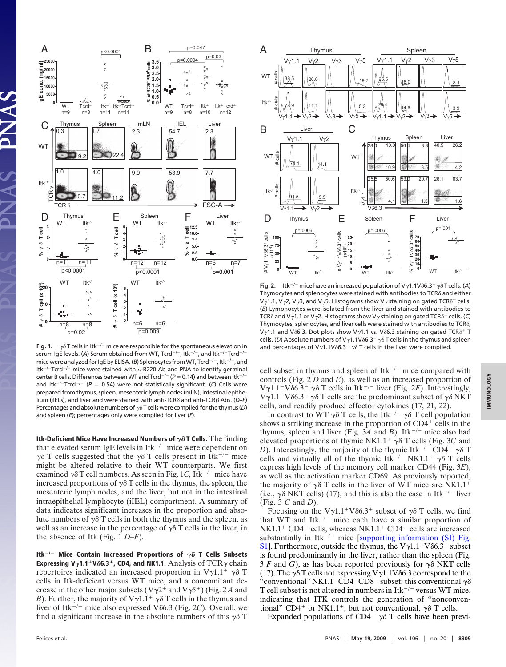

**Fig. 1.**  $\gamma\delta$  T cells in Itk<sup> $-/-$ </sup> mice are responsible for the spontaneous elevation in serum IgE levels. (A) Serum obtained from WT, Tcrd<sup>-/-</sup>, Itk<sup>-/-</sup>, and Itk<sup>-/-</sup>Tcrd<sup>-/-</sup> mice were analyzed for IgE by ELISA. (B) Splenocytes from WT, Tcrd<sup>-/-</sup>, Itk<sup>-/-</sup>, and Itk<sup>-/-</sup>Tcrd<sup>-/-</sup> mice were stained with  $\alpha$ -B220 Ab and PNA to identify germinal center B cells. Differences between WT and Tcrd<sup>-/-</sup> (P = 0.14) and between ltk<sup>-/-</sup> and ltk<sup>-/-</sup>Tcrd<sup>-/-</sup> (P = 0.54) were not statistically significant. (C) Cells were prepared from thymus, spleen, mesenteric lymph nodes (mLN), intestinal epithelium (iIELs), and liver and were stained with anti-TCRδ and anti-TCRβ Abs. (D-F) Percentages and absolute numbers of  $\gamma \delta T$  cells were compiled for the thymus (*D*) and spleen (*E*); percentages only were compiled for liver (*F*).

**Itk-Deficient Mice Have Increased Numbers of**  $\gamma\delta$  **T Cells.** The finding that elevated serum IgE levels in  $Itk^{-/-}$  mice were dependent on  $\gamma\delta$  T cells suggested that the  $\gamma\delta$  T cells present in Itk<sup>-/-</sup> mice might be altered relative to their WT counterparts. We first examined  $\gamma \delta T$  cell numbers. As seen in Fig. 1C, Itk<sup>-/-</sup> mice have increased proportions of  $\gamma \delta$  T cells in the thymus, the spleen, the mesenteric lymph nodes, and the liver, but not in the intestinal intraepithelial lymphocyte (iIEL) compartment. A summary of data indicates significant increases in the proportion and absolute numbers of  $\gamma\delta$  T cells in both the thymus and the spleen, as well as an increase in the percentage of  $\gamma\delta$  T cells in the liver, in the absence of Itk (Fig. 1 *D–F*).

Itk<sup> $-/-$ </sup> Mice Contain Increased Proportions of  $\gamma\delta$  T Cells Subsets **Expressing V<sub>Y</sub>1.1<sup>+</sup>V** $\delta$ **6.3<sup>+</sup>, CD4, and NK1.1.** Analysis of TCR $\gamma$  chain repertoires indicated an increased proportion in  $V\gamma1.1^+$   $\gamma\delta$  T cells in Itk-deficient versus WT mice, and a concomitant decrease in the other major subsets ( $V\gamma2^+$  and  $V\gamma5^+$ ) (Fig. 2A and *B*). Further, the majority of  $V\gamma1.1^+$   $\gamma\delta$  T cells in the thymus and liver of Itk<sup>-/-</sup> mice also expressed V86.3 (Fig. 2C). Overall, we find a significant increase in the absolute numbers of this  $\gamma \delta$  T



**Fig. 2.** Itk<sup>-/-</sup> mice have an increased population of V<sub>2</sub>1.1V $\delta$ 6.3<sup>+</sup>  $\gamma \delta$ T cells. (A) Thymocytes and splenocytes were stained with antibodies to TCR $\delta$  and either V $\gamma$ 1.1, V $\gamma$ 2, V $\gamma$ 3, and V $\gamma$ 5. Histograms show V $\gamma$  staining on gated TCR $\delta^+$  cells. (*B*) Lymphocytes were isolated from the liver and stained with antibodies to TCR $\delta$  and V $\gamma$ 1.1 or V $\gamma$ 2. Histograms show V $\gamma$  staining on gated TCR $\delta^+$  cells. (C) Thymocytes, splenocytes, and liver cells were stained with antibodies to TCR $\delta$ , V<sub>y</sub>1.1 and V $\delta$ 6.3. Dot plots show V<sub>y</sub>1.1 vs. V $\delta$ 6.3 staining on gated TCR $\delta$ <sup>+</sup> T cells. (*D*) Absolute numbers of V $\gamma$ 1.1V $\delta$ 6.3<sup>+</sup>  $\gamma$  $\delta$ T cells in the thymus and spleen and percentages of V $\gamma$ 1.1V $\delta$ 6.3<sup>+</sup>  $\gamma$  $\delta$  T cells in the liver were compiled.

cell subset in thymus and spleen of  $Itk^{-/-}$  mice compared with controls (Fig. 2 *D* and *E*), as well as an increased proportion of  $V\gamma1.1^+V\delta6.3^+$   $\gamma\delta$  T cells in Itk<sup>-/-</sup> liver (Fig. 2*F*). Interestingly,  $V\gamma1.1^+V\delta6.3^+$   $\gamma\delta$  T cells are the predominant subset of  $\gamma\delta$  NKT cells, and readily produce effector cytokines (17, 21, 22).

In contrast to WT  $\gamma\delta$  T cells, the Itk<sup>-/-</sup>  $\gamma\delta$  T cell population shows a striking increase in the proportion of  $CD4<sup>+</sup>$  cells in the thymus, spleen and liver (Fig.  $3\overline{A}$  and *B*). Itk<sup>-/-</sup> mice also had elevated proportions of thymic NK1.1<sup>+</sup>  $\gamma\delta$  T cells (Fig. 3*C* and *D*). Interestingly, the majority of the thymic Itk<sup>-/-</sup> CD4<sup>+</sup>  $\gamma\delta$  T cells and virtually all of the thymic Itk<sup>-/-</sup> NK1.1<sup>+</sup>  $\gamma\delta$  T cells express high levels of the memory cell marker CD44 (Fig. 3*E*), as well as the activation marker CD69. As previously reported, the majority of  $\gamma\delta$  T cells in the liver of WT mice are NK1.1<sup>+</sup> (i.e.,  $\gamma \delta$  NKT cells) (17), and this is also the case in Itk<sup>-/-</sup> liver (Fig. 3 *C* and *D*).

Focusing on the  $V\gamma1.1^+V\delta6.3^+$  subset of  $\gamma\delta$  T cells, we find that WT and Itk<sup> $-/-$ </sup> mice each have a similar proportion of  $N<sub>K1.1</sub><sup>+</sup>$  CD4<sup>-</sup> cells, whereas NK1.1<sup>+</sup> CD4<sup>+</sup> cells are increased substantially in Itk<sup> $-/-$ </sup> mice [\[supporting information \(SI\) Fig.](http://www.pnas.org/cgi/data/0808459106/DCSupplemental/Supplemental_PDF#nameddest=SF1) [S1\]](http://www.pnas.org/cgi/data/0808459106/DCSupplemental/Supplemental_PDF#nameddest=SF1). Furthermore, outside the thymus, the  $V\gamma1.1^+V\delta6.3^+$  subset is found predominantly in the liver, rather than the spleen (Fig. 3 *F* and *G*), as has been reported previously for  $\gamma \delta$  NKT cells (17). The  $\gamma\delta$  T cells not expressing V $\gamma$ 1.1V $\delta$ 6.3 correspond to the "conventional" NK1.1<sup>-</sup>CD4<sup>-</sup>CD8<sup>-</sup> subset; this conventional  $\gamma\delta$ T cell subset is not altered in numbers in  $Itk^{-/-}$  versus WT mice, indicating that ITK controls the generation of ''nonconventional" CD4<sup>+</sup> or NK1.1<sup>+</sup>, but not conventional,  $\gamma \delta$  T cells.

Expanded populations of CD4<sup>+</sup>  $\gamma\delta$  T cells have been previ-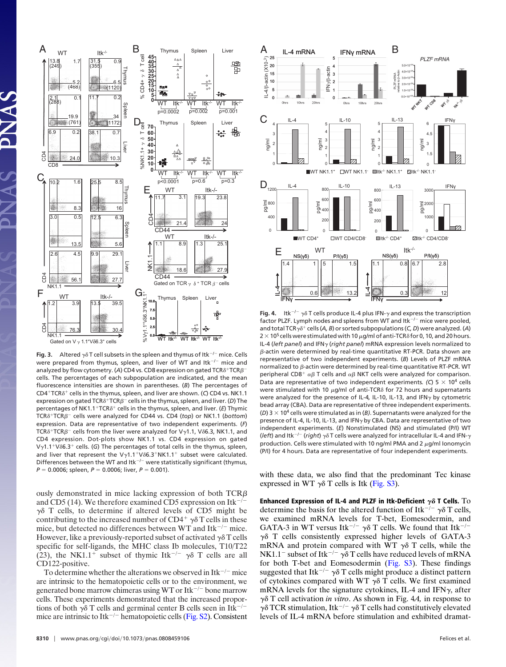

**Fig. 3.** Altered  $\gamma \delta$  T cell subsets in the spleen and thymus of Itk<sup>-/-</sup> mice. Cells were prepared from thymus, spleen, and liver of WT and Itk $^{-/-}$  mice and analyzed by flow cytometry. (A) CD4 vs. CD8 expression on gated  $TCR\delta^+TCR\beta^$ cells. The percentages of each subpopulation are indicated, and the mean fluorescence intensities are shown in parentheses. (*B*) The percentages of CD4<sup>+</sup>TCR $\delta$ <sup>+</sup> cells in the thymus, spleen, and liver are shown. (C) CD4 vs. NK1.1 expression on gated  $TCR\delta^+TCR\beta^-$  cells in the thymus, spleen, and liver. (D) The percentages of NK1.1<sup>+</sup>TCR $\delta$ <sup>+</sup> cells in the thymus, spleen, and liver. (*E*) Thymic TCRδ<sup>+</sup>TCRβ<sup>-</sup> cells were analyzed for CD44 vs. CD4 (top) or NK1.1 (bottom) expression. Data are representative of two independent experiments. (*F*) TCR $\delta^+$ TCR $\beta^-$  cells from the liver were analyzed for V $\gamma$ 1.1, V $\delta$ 6.3, NK1.1, and CD4 expression. Dot-plots show NK1.1 vs. CD4 expression on gated V<sub>y</sub>1.1<sup>+</sup>V $\delta$ 6.3<sup>+</sup> cells. (G) The percentages of total cells in the thymus, spleen, and liver that represent the Vy1.1<sup>+</sup>V $\delta$ 6.3<sup>+</sup>NK1.1<sup>+</sup> subset were calculated. Differences between the WT and  $Itk^{-/-}$  were statistically significant (thymus,  $P = 0.0006$ ; spleen,  $P = 0.0006$ ; liver,  $P = 0.001$ ).

ously demonstrated in mice lacking expression of both  $TCR\beta$ and CD5 (14). We therefore examined CD5 expression on Itk<sup> $-/-$ </sup>  $\gamma\delta$  T cells, to determine if altered levels of CD5 might be contributing to the increased number of  $CD4^+ \gamma \delta T$  cells in these mice, but detected no differences between WT and  $Itk^{-/-}$  mice. However, like a previously-reported subset of activated  $\gamma \delta$  T cells specific for self-ligands, the MHC class Ib molecules, T10/T22 (23), the NK1.1<sup>+</sup> subset of thymic Itk<sup>-/-</sup>  $\gamma\delta$  T cells are all CD122-positive.

To determine whether the alterations we observed in  $Itk^{-/-}$  mice are intrinsic to the hematopoietic cells or to the environment, we generated bone marrow chimeras using WT or Itk<sup>-/-</sup> bone marrow cells. These experiments demonstrated that the increased proportions of both  $\gamma\delta$  T cells and germinal center B cells seen in Itk<sup>-/-</sup> mice are intrinsic to Itk<sup> $-/-$ </sup> hematopoietic cells [\(Fig. S2\)](http://www.pnas.org/cgi/data/0808459106/DCSupplemental/Supplemental_PDF#nameddest=SF2). Consistent



**Fig. 4.** Itk<sup> $-/-$ </sup>  $\gamma\delta$  T cells produce IL-4 plus IFN- $\gamma$  and express the transcription factor PLZF. Lymph nodes and spleens from WT and Itk $^{-/-}$  mice were pooled, and total TCR $\gamma\delta^+$  cells (*A*, *B*) or sorted subpopulations (*C*, *D*) were analyzed. (*A*)  $2 \times 10^5$  cells were stimulated with 10  $\mu$ g/ml of anti-TCR $\delta$  for 0, 10, and 20 hours. IL-4 (*left panel*) and IFN<sub>Y</sub> (*right panel*) mRNA expression levels normalized to  $\beta$ -actin were determined by real-time quantitative RT-PCR. Data shown are representative of two independent experiments. (*B*) Levels of PLZF mRNA normalized to  $\beta$ -actin were determined by real-time quantitative RT-PCR. WT peripheral CD8<sup>+</sup>  $\alpha\beta$  T cells and  $\alpha\beta$  NKT cells were analyzed for comparison. Data are representative of two independent experiments. (C)  $5 \times 10^4$  cells were stimulated with 10  $\mu$ g/ml of anti-TCR $\delta$  for 72 hours and supernatants were analyzed for the presence of IL-4, IL-10, IL-13, and IFN $\gamma$  by cytometric bead array (CBA). Data are representative of three independent experiments. (*D*) 3  $\times$  10<sup>4</sup> cells were stimulated as in (*B*). Supernatants were analyzed for the presence of IL-4, IL-10, IL-13, and IFN $\gamma$  by CBA. Data are representative of two independent experiments. (*E*) Nonstimulated (NS) and stimulated (P/I) WT (*left*) and Itk<sup> $-/-$ </sup> (*right*)  $\gamma \delta$  T cells were analyzed for intracellular IL-4 and IFN- $\gamma$ production. Cells were stimulated with 10 ng/ml PMA and 2  $\mu$ g/ml Ionomycin (P/I) for 4 hours. Data are representative of four independent experiments.

with these data, we also find that the predominant Tec kinase expressed in WT  $\gamma\delta$  T cells is Itk [\(Fig. S3\)](http://www.pnas.org/cgi/data/0808459106/DCSupplemental/Supplemental_PDF#nameddest=SF3).

Enhanced Expression of IL-4 and PLZF in Itk-Deficient  $\gamma \delta$  T Cells.  $\rm To$ determine the basis for the altered function of Itk<sup>-/-</sup>  $\gamma \delta$  T cells, we examined mRNA levels for T-bet, Eomesodermin, and GATA-3 in WT versus Itk<sup>-/-</sup>  $\gamma\delta$  T cells. We found that Itk<sup>-/-</sup>  $\gamma\delta$  T cells consistently expressed higher levels of GATA-3 mRNA and protein compared with WT  $\gamma\delta$  T cells, while the NK1.1<sup>-</sup> subset of Itk<sup>-/-</sup>  $\gamma\delta$  T cells have reduced levels of mRNA for both T-bet and Eomesodermin [\(Fig. S3\)](http://www.pnas.org/cgi/data/0808459106/DCSupplemental/Supplemental_PDF#nameddest=SF3). These findings suggested that Itk<sup>-/-</sup>  $\gamma\delta$  T cells might produce a distinct pattern of cytokines compared with WT  $\gamma\delta$  T cells. We first examined mRNA levels for the signature cytokines, IL-4 and IFN $\gamma$ , after  $\gamma\delta$  T cell activation *in vitro*. As shown in Fig. 4*A*, in response to  $\gamma\delta$  TCR stimulation, Itk<sup>-/-</sup>  $\gamma\delta$  T cells had constitutively elevated levels of IL-4 mRNA before stimulation and exhibited dramat-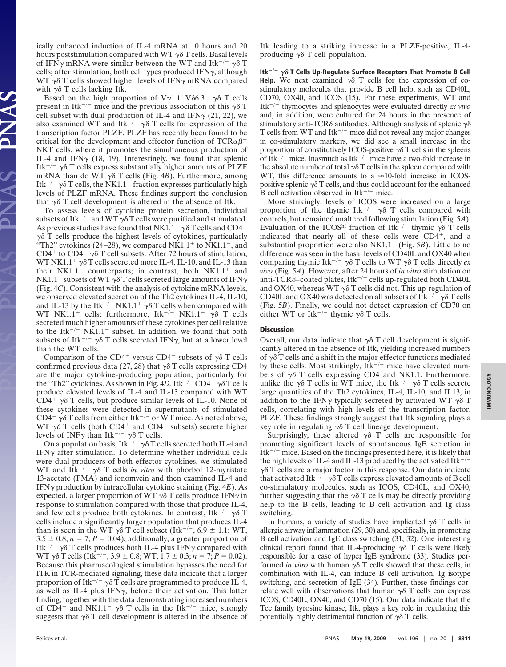ically enhanced induction of IL-4 mRNA at 10 hours and 20 hours poststimulation compared with WT  $\gamma\delta$  T cells. Basal levels of IFN $\gamma$  mRNA were similar between the WT and Itk<sup>-/-</sup>  $\gamma \delta$  T cells; after stimulation, both cell types produced IFN $\gamma$ , although WT  $\gamma\delta$  T cells showed higher levels of IFN $\gamma$  mRNA compared with  $\gamma \delta$  T cells lacking Itk.

Based on the high proportion of  $V\gamma1.1^+V\delta6.3^+$   $\gamma\delta$  T cells present in Itk<sup>-/-</sup> mice and the previous association of this  $\gamma \delta$  T cell subset with dual production of IL-4 and IFN $\gamma$  (21, 22), we also examined WT and Itk<sup>-/-</sup>  $\gamma\delta$  T cells for expression of the transcription factor PLZF. PLZF has recently been found to be critical for the development and effector function of TCR $\alpha\beta^+$ NKT cells, where it promotes the simultaneous production of IL-4 and IFN $\gamma$  (18, 19). Interestingly, we found that splenic Itk<sup> $-/-$ </sup>  $\gamma\delta$  T cells express substantially higher amounts of PLZF mRNA than do WT  $\gamma\delta$  T cells (Fig. 4*B*). Furthermore, among Itk<sup> $-/-$ </sup>  $\gamma\delta$  T cells, the NK1.1<sup>+</sup> fraction expresses particularly high levels of PLZF mRNA. These findings support the conclusion that  $\gamma\delta$  T cell development is altered in the absence of Itk.

To assess levels of cytokine protein secretion, individual subsets of Itk<sup>-/-</sup> and WT  $\gamma\delta$  T cells were purified and stimulated. As previous studies have found that NK1.1<sup>+</sup>  $\gamma\delta$  T cells and CD4<sup>+</sup>  $\gamma\delta$  T cells produce the highest levels of cytokines, particularly "Th2" cytokines (24–28), we compared  $N\dot{K}1.1$ <sup>+</sup> to  $N\dot{K}1.1$ <sup>-</sup>, and CD4<sup>+</sup> to CD4<sup>-</sup>  $\gamma\delta$  T cell subsets. After 72 hours of stimulation, WT NK1.1<sup>+</sup>  $\gamma\delta$  T cells secreted more IL-4, IL-10, and IL-13 than their  $N<sub>K1.1</sub><sup>-</sup>$  counterparts; in contrast, both  $N<sub>K1.1</sub><sup>+</sup>$  and NK1.1<sup>-</sup> subsets of WT  $\gamma\delta$  T cells secreted large amounts of IFN $\gamma$ (Fig. 4*C*). Consistent with the analysis of cytokine mRNA levels, we observed elevated secretion of the Th2 cytokines IL-4, IL-10, and IL-13 by the Itk<sup> $-/-$ </sup> NK1.1<sup>+</sup>  $\gamma\delta$  T cells when compared with WT NK1.1<sup>+</sup> cells; furthermore, Itk<sup>-/-</sup> NK1.1<sup>+</sup>  $\gamma \delta$  T cells secreted much higher amounts of these cytokines per cell relative to the Itk<sup> $-/-$ </sup> NK1.1<sup>-</sup> subset. In addition, we found that both subsets of Itk<sup>-/-</sup>  $\gamma\delta$  T cells secreted IFN $\gamma$ , but at a lower level than the WT cells.

Comparison of the CD4<sup>+</sup> versus CD4<sup>-</sup> subsets of  $\gamma\delta$  T cells confirmed previous data (27, 28) that  $\gamma\delta$  T cells expressing CD4 are the major cytokine-producing population, particularly for the "Th2" cytokines. As shown in Fig. 4D, Itk<sup>-/-</sup> CD4<sup>+</sup>  $\gamma\delta$  T cells produce elevated levels of IL-4 and IL-13 compared with WT CD4<sup>+</sup>  $\gamma\delta$  T cells, but produce similar levels of IL-10. None of these cytokines were detected in supernatants of stimulated CD4<sup>-</sup>  $\gamma\delta$  T cells from either Itk<sup>-/-</sup> or WT mice. As noted above, WT  $\gamma\delta$  T cells (both CD4<sup>+</sup> and CD4<sup>-</sup> subsets) secrete higher levels of INF $\gamma$  than Itk<sup>-/-</sup>  $\gamma \delta$  T cells.

On a population basis, Itk<sup> $-/-$ </sup>  $\gamma\delta$  T cells secreted both IL-4 and IFN $\gamma$  after stimulation. To determine whether individual cells were dual producers of both effector cytokines, we stimulated WT and Itk<sup> $-/-$ </sup>  $\gamma\delta$  T cells *in vitro* with phorbol 12-myristate 13-acetate (PMA) and ionomycin and then examined IL-4 and IFN production by intracellular cytokine staining (Fig. 4*E*). As expected, a larger proportion of WT  $\gamma\delta$  T cells produce IFN $\gamma$  in response to stimulation compared with those that produce IL-4, and few cells produce both cytokines. In contrast, Itk<sup>-/-</sup>  $\gamma\delta$  T cells include a significantly larger population that produces IL-4 than is seen in the WT  $\gamma \delta$  T cell subset (Itk<sup>-/-</sup>, 6.9  $\pm$  1.1; WT, 3.5  $\pm$  0.8; *n* = 7; *P* = 0.04); additionally, a greater proportion of Itk<sup> $-/-$ </sup>  $\gamma\delta$  T cells produces both IL-4 plus IFN $\gamma$  compared with  $WT \gamma \delta T$  cells (Itk<sup>-/-</sup>, 3.9 ± 0.8; WT, 1.7 ± 0.3; *n* = 7; *P* = 0.02). Because this pharmacological stimulation bypasses the need for ITK in TCR-mediated signaling, these data indicate that a larger proportion of Itk<sup> $-\gamma$ </sup>  $\gamma$  $\delta$  T cells are programmed to produce IL-4, as well as IL-4 plus IFN $\gamma$ , before their activation. This latter finding, together with the data demonstrating increased numbers of CD4<sup>+</sup> and NK1.1<sup>+</sup>  $\gamma\delta$  T cells in the Itk<sup>-/-</sup> mice, strongly suggests that  $\gamma \delta$  T cell development is altered in the absence of

Itk leading to a striking increase in a PLZF-positive, IL-4 producing  $\gamma \delta$  T cell population.

Itk<sup>-/-</sup>  $\gamma\delta$  T Cells Up-Regulate Surface Receptors That Promote B Cell **Help.** We next examined  $\gamma \delta$  T cells for the expression of costimulatory molecules that provide B cell help, such as CD40L, CD70, OX40, and ICOS (15). For these experiments, WT and Itk-/- thymocytes and splenocytes were evaluated directly *ex vivo* and, in addition, were cultured for 24 hours in the presence of stimulatory anti-TCR $\delta$  antibodies. Although analysis of splenic  $\gamma\delta$ T cells from WT and Itk<sup> $-/-$ </sup> mice did not reveal any major changes in co-stimulatory markers, we did see a small increase in the proportion of constitutively ICOS-positive  $\gamma \delta$  T cells in the spleens of Itk<sup>-/-</sup> mice. Inasmuch as Itk<sup>-/-</sup> mice have a two-fold increase in the absolute number of total  $\gamma\delta$  T cells in the spleen compared with WT, this difference amounts to a  $\approx$ 10-fold increase in ICOSpositive splenic  $\gamma \delta T$  cells, and thus could account for the enhanced B cell activation observed in  $Itk^{-/-}$  mice.

More strikingly, levels of ICOS were increased on a large proportion of the thymic Itk<sup>-/-</sup>  $\gamma\delta$  T cells compared with controls, but remained unaltered following stimulation (Fig. 5*A*). Evaluation of the ICOS<sup>hi</sup> fraction of Itk<sup>-/-</sup> thymic  $\gamma \delta$  T cells indicated that nearly all of these cells were  $CD4^+$ , and a substantial proportion were also  $N<sub>K1.1</sub><sup>+</sup>$  (Fig. 5*B*). Little to no difference was seen in the basal levels of CD40L and OX40 when comparing thymic Itk<sup>-/-</sup>  $\gamma \delta$  T cells to WT  $\gamma \delta$  T cells directly *ex vivo* (Fig. 5*A*). However, after 24 hours of *in vitro* stimulation on anti-TCR $\delta$ -coated plates, Itk<sup>-/-</sup> cells up-regulated both CD40L and OX40, whereas WT  $\gamma\delta$  T cells did not. This up-regulation of CD40L and OX40 was detected on all subsets of Itk<sup>-/-</sup>  $\gamma\delta$  T cells (Fig. 5*B*). Finally, we could not detect expression of CD70 on either WT or Itk<sup>-/-</sup> thymic  $\gamma \delta$  T cells.

### **Discussion**

Overall, our data indicate that  $\gamma \delta$  T cell development is significantly altered in the absence of Itk, yielding increased numbers of  $\gamma\delta$  T cells and a shift in the major effector functions mediated by these cells. Most strikingly,  $Itk^{-/-}$  mice have elevated numbers of  $\gamma\delta$  T cells expressing CD4 and NK1.1. Furthermore, unlike the  $\gamma\delta$  T cells in WT mice, the Itk<sup>-/-</sup>  $\gamma\delta$  T cells secrete large quantities of the Th2 cytokines, IL-4, IL-10, and IL13, in addition to the IFN $\gamma$  typically secreted by activated WT  $\gamma\delta$  T cells, correlating with high levels of the transcription factor, PLZF. These findings strongly suggest that Itk signaling plays a key role in regulating  $\gamma \delta$  T cell lineage development.

Surprisingly, these altered  $\gamma\delta$  T cells are responsible for promoting significant levels of spontaneous IgE secretion in  $Itk^{-/-}$  mice. Based on the findings presented here, it is likely that the high levels of IL-4 and IL-13 produced by the activated Itk<sup> $-/-$ </sup>  $\gamma\delta$  T cells are a major factor in this response. Our data indicate that activated Itk<sup> $-\prime$ -</sup>  $\gamma\delta$  T cells express elevated amounts of B cell co-stimulatory molecules, such as ICOS, CD40L, and OX40, further suggesting that the  $\gamma\delta$  T cells may be directly providing help to the B cells, leading to B cell activation and Ig class switching.

In humans, a variety of studies have implicated  $\gamma \delta$  T cells in allergic airway inflammation (29, 30) and, specifically, in promoting B cell activation and IgE class switching (31, 32). One interesting clinical report found that IL-4-producing  $\gamma \delta$  T cells were likely responsible for a case of hyper IgE syndrome (33). Studies performed *in vitro* with human  $\gamma \delta$  T cells showed that these cells, in combination with IL-4, can induce B cell activation, Ig isotype switching, and secretion of IgE (34). Further, these findings correlate well with observations that human  $\gamma \delta$  T cells can express ICOS, CD40L, OX40, and CD70 (15). Our data indicate that the Tec family tyrosine kinase, Itk, plays a key role in regulating this potentially highly detrimental function of  $\gamma\delta$  T cells.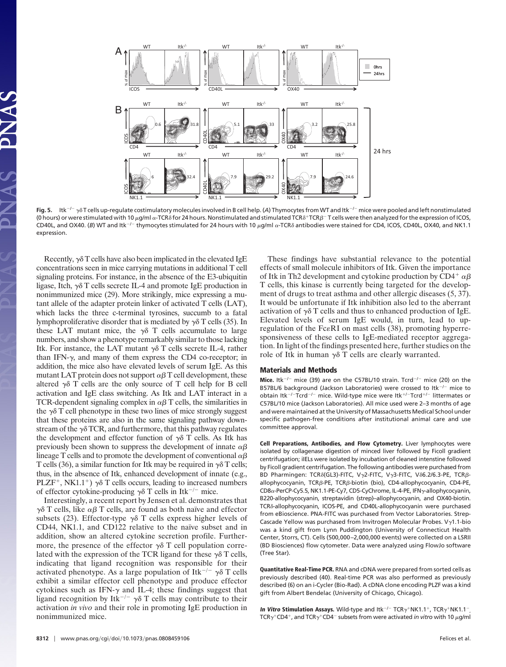

Fig. 5. Itk<sup>-/-</sup>  $\gamma$ 8T cells up-regulate costimulatory molecules involved in B cell help. (A) Thymocytes from WT and Itk<sup>-/-</sup> mice were pooled and left nonstimulated (0 hours) or were stimulated with 10 µg/ml  $\alpha$ -TCR $\delta$  for 24 hours. Nonstimulated and stimulated TCR $\delta^+$ TCR $\beta^-$ T cells were then analyzed for the expression of ICOS, CD40L, and OX40. (B) WT and Itk<sup>-/-</sup> thymocytes stimulated for 24 hours with 10 µg/ml a-TCR<sub>0</sub> antibodies were stained for CD4, ICOS, CD40L, OX40, and NK1.1 expression.

Recently,  $\gamma \delta$  T cells have also been implicated in the elevated IgE concentrations seen in mice carrying mutations in additional T cell signaling proteins. For instance, in the absence of the E3-ubiquitin ligase, Itch,  $\gamma\delta$  T cells secrete IL-4 and promote IgE production in nonimmunized mice (29). More strikingly, mice expressing a mutant allele of the adapter protein linker of activated T cells (LAT), which lacks the three c-terminal tyrosines, succumb to a fatal lymphoproliferative disorder that is mediated by  $\gamma \delta$  T cells (35). In these LAT mutant mice, the  $\gamma\delta$  T cells accumulate to large numbers, and show a phenotype remarkably similar to those lacking Itk. For instance, the LAT mutant  $\gamma\delta$  T cells secrete IL-4, rather than IFN- $\gamma$ , and many of them express the CD4 co-receptor; in addition, the mice also have elevated levels of serum IgE. As this mutant LAT protein does not support  $\alpha\beta$  T cell development, these altered  $\gamma \delta$  T cells are the only source of T cell help for B cell activation and IgE class switching. As Itk and LAT interact in a TCR-dependent signaling complex in  $\alpha\beta$  T cells, the similarities in the  $\gamma\delta$  T cell phenotype in these two lines of mice strongly suggest that these proteins are also in the same signaling pathway downstream of the  $\gamma\delta$  TCR, and furthermore, that this pathway regulates the development and effector function of  $\gamma\delta$  T cells. As Itk has previously been shown to suppress the development of innate  $\alpha\beta$ lineage T cells and to promote the development of conventional  $\alpha\beta$ T cells (36), a similar function for Itk may be required in  $\gamma\delta$  T cells; thus, in the absence of Itk, enhanced development of innate (e.g., PLZF<sup>+</sup>, NK1.1<sup>+</sup>)  $\gamma \delta$  T cells occurs, leading to increased numbers of effector cytokine-producing  $\gamma \delta$  T cells in Itk<sup>-/-</sup> mice.

Interestingly, a recent report by Jensen et al. demonstrates that  $\gamma\delta$  T cells, like  $\alpha\beta$  T cells, are found as both naïve and effector subsets (23). Effector-type  $\gamma\delta$  T cells express higher levels of CD44, NK1.1, and CD122 relative to the naïve subset and in addition, show an altered cytokine secretion profile. Furthermore, the presence of the effector  $\gamma \delta$  T cell population correlated with the expression of the TCR ligand for these  $\gamma \delta$  T cells, indicating that ligand recognition was responsible for their activated phenotype. As a large population of Itk<sup>-/-</sup>  $\gamma\delta$  T cells exhibit a similar effector cell phenotype and produce effector cytokines such as IFN- $\gamma$  and IL-4; these findings suggest that ligand recognition by Itk<sup> $-/-$ </sup>  $\gamma\delta$  T cells may contribute to their activation *in vivo* and their role in promoting IgE production in nonimmunized mice.

These findings have substantial relevance to the potential effects of small molecule inhibitors of Itk. Given the importance of Itk in Th2 development and cytokine production by CD4+  $\alpha\beta$ T cells, this kinase is currently being targeted for the development of drugs to treat asthma and other allergic diseases (5, 37). It would be unfortunate if Itk inhibition also led to the aberrant activation of  $\gamma\delta$  T cells and thus to enhanced production of IgE. Elevated levels of serum IgE would, in turn, lead to upregulation of the Fc $\epsilon$ RI on mast cells (38), promoting hyperresponsiveness of these cells to IgE-mediated receptor aggregation. In light of the findings presented here, further studies on the role of Itk in human  $\gamma\delta$  T cells are clearly warranted.

### **Materials and Methods**

Mice. Itk<sup>-/-</sup> mice (39) are on the C57BL/10 strain. Tcrd<sup>-/-</sup> mice (20) on the B57BL/6 background (Jackson Laboratories) were crossed to ltk<sup>-/-</sup> mice to obtain Itk<sup>-/-</sup>Tcrd<sup>-/-</sup> mice. Wild-type mice were Itk<sup>+/-</sup>Tcrd<sup>+/-</sup> littermates or C57BL/10 mice (Jackson Laboratories). All mice used were 2–3 months of age and were maintained at the University of Massachusetts Medical School under specific pathogen-free conditions after institutional animal care and use committee approval.

**Cell Preparations, Antibodies, and Flow Cytometry.** Liver lymphocytes were isolated by collagenase digestion of minced liver followed by Ficoll gradient centrifugation; iIELs were isolated by incubation of cleaned intenstine followed by Ficoll gradient centrifugation. The following antibodies were purchased from BD Pharmingen: TCR $\delta$ (GL3)-FITC, V $\gamma$ 2-FITC, V $\gamma$ 3-FITC, V $\delta$ 6.2/6.3-PE, TCR $\beta$ allophycocyanin, TCR<sub>B</sub>-PE, TCR<sub>B</sub>-biotin (bio), CD4-allophycocyanin, CD4-PE, CD8α-PerCP-Cy5.5, NK1.1-PE-Cy7, CD5-CyChrome, IL-4-PE, IFNγ-allophycocyanin, B220-allophycocyanin, streptavidin (strep)–allophycocyanin, and OX40-biotin. TCR<sub>δ</sub>-allophycocyanin, ICOS-PE, and CD40L-allophycocyanin were purchased from eBioscience. PNA-FITC was purchased from Vector Laboratories. Strep-Cascade Yellow was purchased from Invitrogen Molecular Probes. V $\gamma$ 1.1-bio was a kind gift from Lynn Puddington (University of Connecticut Health Center, Storrs, CT). Cells (500,000 –2,000,000 events) were collected on a LSRII (BD Biosciences) flow cytometer. Data were analyzed using FlowJo software (Tree Star).

**Quantitative Real-Time PCR.** RNA and cDNA were prepared from sorted cells as previously described (40). Real-time PCR was also performed as previously described (6) on an i-Cycler (Bio-Rad). A cDNA clone encoding PLZF was a kind gift from Albert Bendelac (University of Chicago, Chicago).

**In Vitro Stimulation Assays.** Wild-type and Itk<sup>-/-</sup> TCR $\gamma^+$ NK1.1<sup>+</sup>, TCR $\gamma^+$ NK1.1<sup>-</sup> , TCR $\gamma^+$ CD4<sup>+</sup>, and TCR $\gamma^+$ CD4<sup>-</sup> subsets from were activated *in vitro* with 10  $\mu$ g/ml